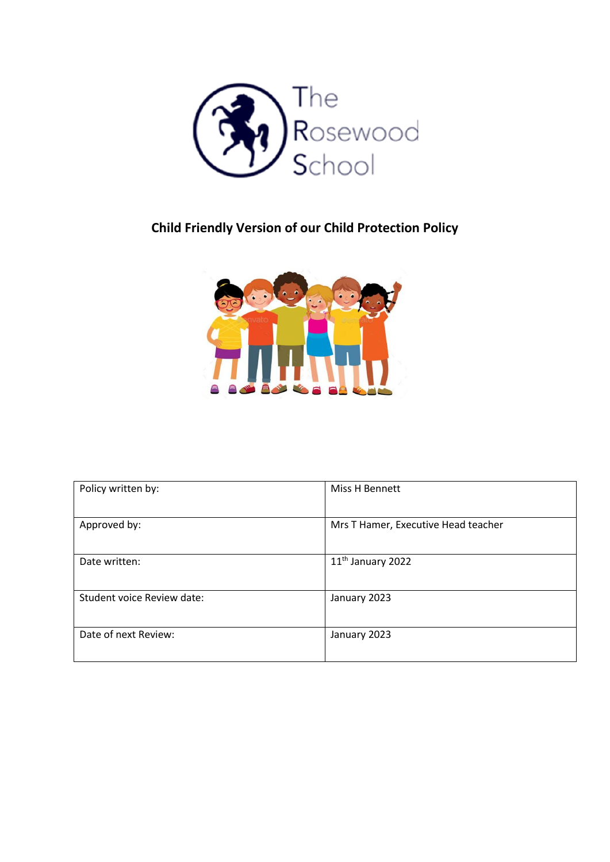

# **Child Friendly Version of our Child Protection Policy**



| Policy written by:         | Miss H Bennett                      |  |
|----------------------------|-------------------------------------|--|
| Approved by:               | Mrs T Hamer, Executive Head teacher |  |
| Date written:              | 11 <sup>th</sup> January 2022       |  |
| Student voice Review date: | January 2023                        |  |
| Date of next Review:       | January 2023                        |  |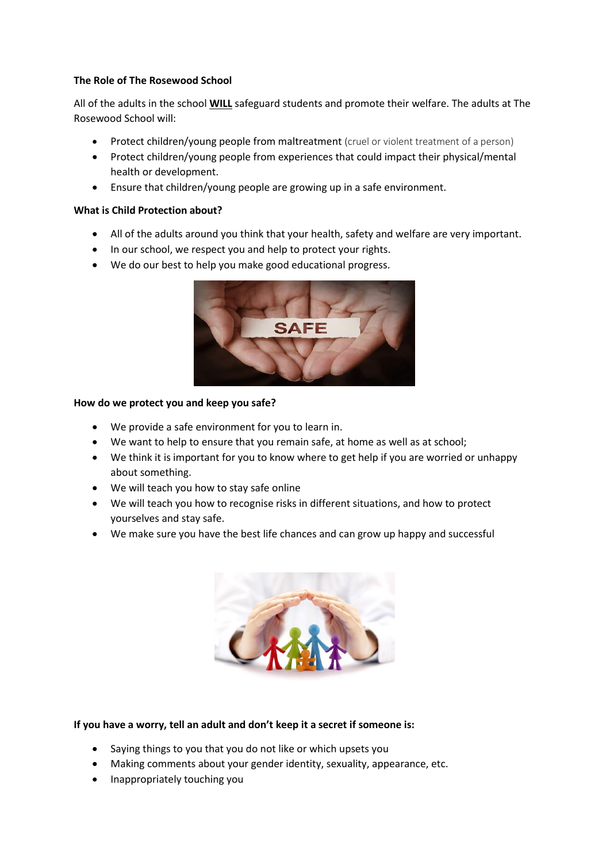## **The Role of The Rosewood School**

All of the adults in the school **WILL** safeguard students and promote their welfare. The adults at The Rosewood School will:

- Protect children/young people from maltreatment (cruel or violent treatment of a person)
- Protect children/young people from experiences that could impact their physical/mental health or development.
- Ensure that children/young people are growing up in a safe environment.

### **What is Child Protection about?**

- All of the adults around you think that your health, safety and welfare are very important.
- In our school, we respect you and help to protect your rights.
- We do our best to help you make good educational progress.



#### **How do we protect you and keep you safe?**

- We provide a safe environment for you to learn in.
- We want to help to ensure that you remain safe, at home as well as at school;
- We think it is important for you to know where to get help if you are worried or unhappy about something.
- We will teach you how to stay safe online
- We will teach you how to recognise risks in different situations, and how to protect yourselves and stay safe.
- We make sure you have the best life chances and can grow up happy and successful



## **If you have a worry, tell an adult and don't keep it a secret if someone is:**

- Saying things to you that you do not like or which upsets you
- Making comments about your gender identity, sexuality, appearance, etc.
- Inappropriately touching you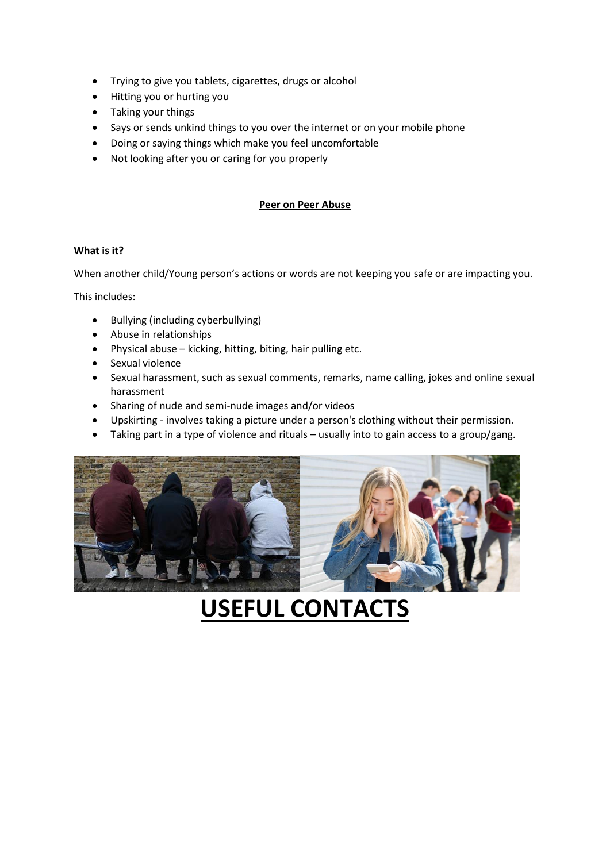- Trying to give you tablets, cigarettes, drugs or alcohol
- Hitting you or hurting you
- Taking your things
- Says or sends unkind things to you over the internet or on your mobile phone
- Doing or saying things which make you feel uncomfortable
- Not looking after you or caring for you properly

### **Peer on Peer Abuse**

#### **What is it?**

When another child/Young person's actions or words are not keeping you safe or are impacting you.

This includes:

- Bullying (including cyberbullying)
- Abuse in relationships
- Physical abuse kicking, hitting, biting, hair pulling etc.
- **•** Sexual violence
- Sexual harassment, such as sexual comments, remarks, name calling, jokes and online sexual harassment
- Sharing of nude and semi-nude images and/or videos
- Upskirting involves taking a picture under a person's clothing without their permission.
- Taking part in a type of violence and rituals usually into to gain access to a group/gang.



# **USEFUL CONTACTS**